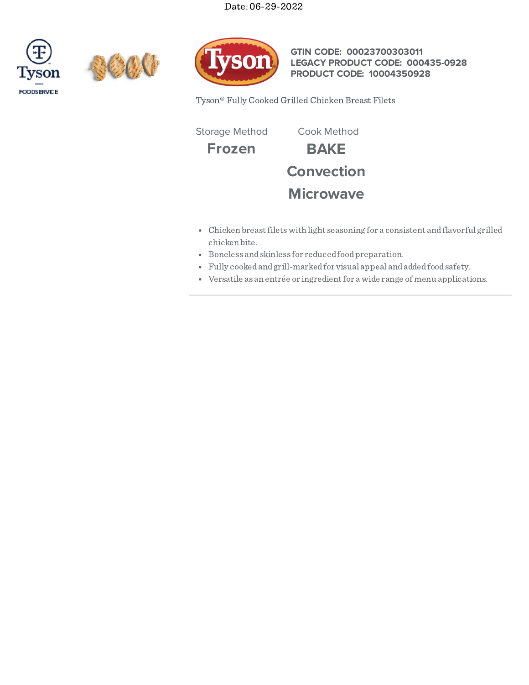Date: 06-29-2022







**GTIN CODE: 00023700303011 LEGACY PRODUCT CODE: 000435-0928 PRODUCT CODE: 10004350928**

Tyson® Fully Cooked Grilled Chicken Breast Filets

Storage Method Cook Method

**Frozen BAKE Convection Microwave**

- Chicken breastfiletswith light seasoning for a consistent andflavorful grilled chicken bite.
- Boneless andskinless for reducedfoodpreparation.
- Fully cookedandgrill-markedfor visual appeal andaddedfoodsafety.
- Versatile as an entrée or ingredientfor a wide range of menu applications.